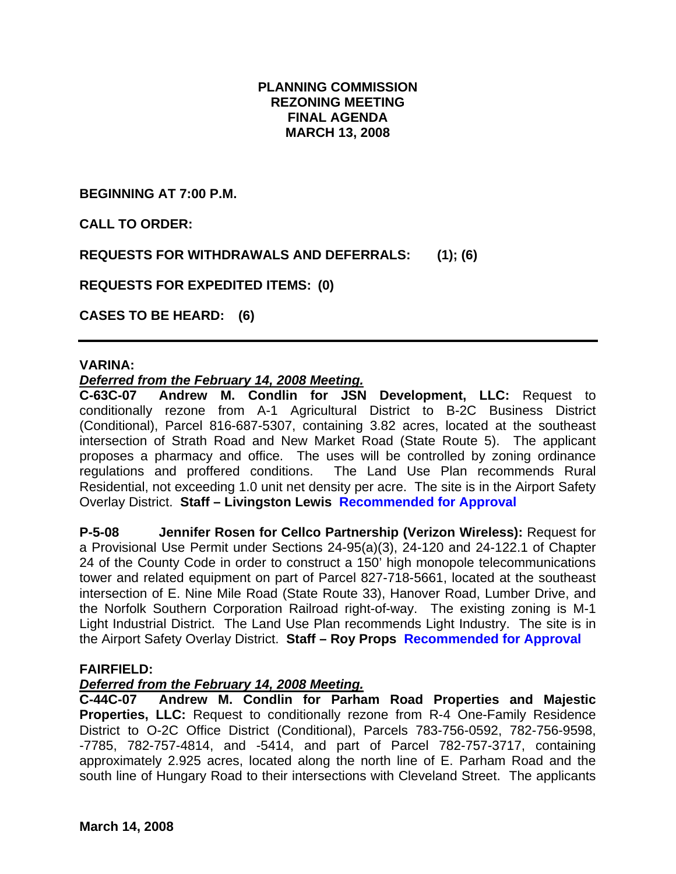# **PLANNING COMMISSION REZONING MEETING FINAL AGENDA MARCH 13, 2008**

**BEGINNING AT 7:00 P.M.** 

**CALL TO ORDER:** 

**REQUESTS FOR WITHDRAWALS AND DEFERRALS: (1); (6)** 

**REQUESTS FOR EXPEDITED ITEMS: (0)** 

**CASES TO BE HEARD: (6)** 

#### **VARINA:**

#### *Deferred from the February 14, 2008 Meeting.*

**C-63C-07 Andrew M. Condlin for JSN Development, LLC:** Request to conditionally rezone from A-1 Agricultural District to B-2C Business District (Conditional), Parcel 816-687-5307, containing 3.82 acres, located at the southeast intersection of Strath Road and New Market Road (State Route 5). The applicant proposes a pharmacy and office. The uses will be controlled by zoning ordinance regulations and proffered conditions. The Land Use Plan recommends Rural Residential, not exceeding 1.0 unit net density per acre. The site is in the Airport Safety Overlay District. **Staff – Livingston Lewis Recommended for Approval**

**P-5-08 Jennifer Rosen for Cellco Partnership (Verizon Wireless):** Request for a Provisional Use Permit under Sections 24-95(a)(3), 24-120 and 24-122.1 of Chapter 24 of the County Code in order to construct a 150' high monopole telecommunications tower and related equipment on part of Parcel 827-718-5661, located at the southeast intersection of E. Nine Mile Road (State Route 33), Hanover Road, Lumber Drive, and the Norfolk Southern Corporation Railroad right-of-way. The existing zoning is M-1 Light Industrial District. The Land Use Plan recommends Light Industry. The site is in the Airport Safety Overlay District. **Staff – Roy Props Recommended for Approval**

#### **FAIRFIELD:**

#### *Deferred from the February 14, 2008 Meeting.*

**C-44C-07 Andrew M. Condlin for Parham Road Properties and Majestic Properties, LLC:** Request to conditionally rezone from R-4 One-Family Residence District to O-2C Office District (Conditional), Parcels 783-756-0592, 782-756-9598, -7785, 782-757-4814, and -5414, and part of Parcel 782-757-3717, containing approximately 2.925 acres, located along the north line of E. Parham Road and the south line of Hungary Road to their intersections with Cleveland Street. The applicants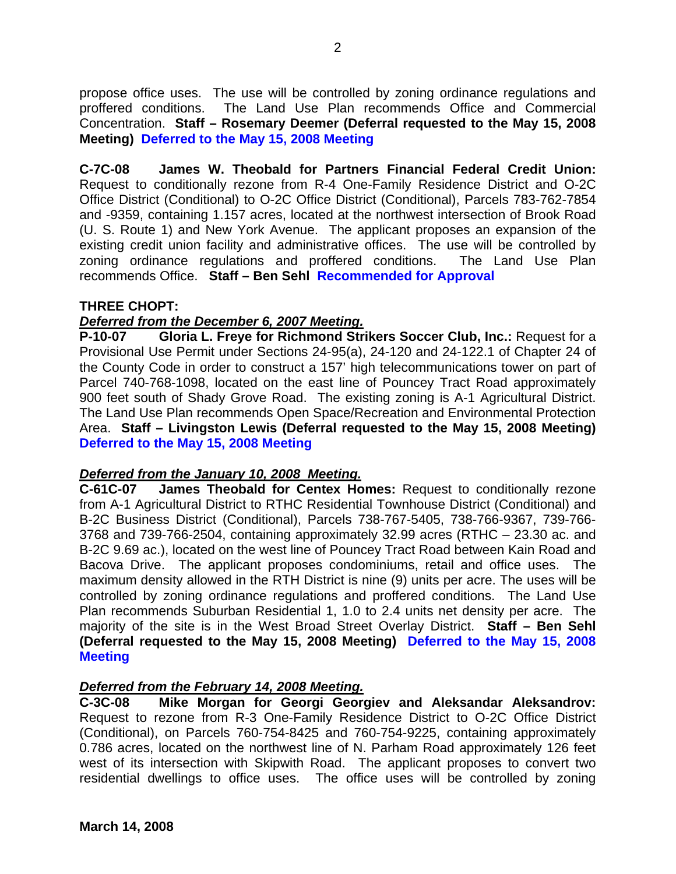propose office uses. The use will be controlled by zoning ordinance regulations and proffered conditions. The Land Use Plan recommends Office and Commercial Concentration. **Staff – Rosemary Deemer (Deferral requested to the May 15, 2008 Meeting) Deferred to the May 15, 2008 Meeting**

**C-7C-08 James W. Theobald for Partners Financial Federal Credit Union:**  Request to conditionally rezone from R-4 One-Family Residence District and O-2C Office District (Conditional) to O-2C Office District (Conditional), Parcels 783-762-7854 and -9359, containing 1.157 acres, located at the northwest intersection of Brook Road (U. S. Route 1) and New York Avenue. The applicant proposes an expansion of the existing credit union facility and administrative offices. The use will be controlled by zoning ordinance regulations and proffered conditions. The Land Use Plan recommends Office. **Staff – Ben Sehl Recommended for Approval**

## **THREE CHOPT:**

## *Deferred from the December 6, 2007 Meeting.*

**P-10-07 Gloria L. Freye for Richmond Strikers Soccer Club, Inc.:** Request for a Provisional Use Permit under Sections 24-95(a), 24-120 and 24-122.1 of Chapter 24 of the County Code in order to construct a 157' high telecommunications tower on part of Parcel 740-768-1098, located on the east line of Pouncey Tract Road approximately 900 feet south of Shady Grove Road. The existing zoning is A-1 Agricultural District. The Land Use Plan recommends Open Space/Recreation and Environmental Protection Area. **Staff – Livingston Lewis (Deferral requested to the May 15, 2008 Meeting) Deferred to the May 15, 2008 Meeting**

# *Deferred from the January 10, 2008 Meeting.*

**C-61C-07 James Theobald for Centex Homes:** Request to conditionally rezone from A-1 Agricultural District to RTHC Residential Townhouse District (Conditional) and B-2C Business District (Conditional), Parcels 738-767-5405, 738-766-9367, 739-766- 3768 and 739-766-2504, containing approximately 32.99 acres (RTHC – 23.30 ac. and B-2C 9.69 ac.), located on the west line of Pouncey Tract Road between Kain Road and Bacova Drive. The applicant proposes condominiums, retail and office uses. The maximum density allowed in the RTH District is nine (9) units per acre. The uses will be controlled by zoning ordinance regulations and proffered conditions. The Land Use Plan recommends Suburban Residential 1, 1.0 to 2.4 units net density per acre. The majority of the site is in the West Broad Street Overlay District. **Staff – Ben Sehl (Deferral requested to the May 15, 2008 Meeting) Deferred to the May 15, 2008 Meeting**

#### *Deferred from the February 14, 2008 Meeting.*

**C-3C-08 Mike Morgan for Georgi Georgiev and Aleksandar Aleksandrov:** Request to rezone from R-3 One-Family Residence District to O-2C Office District (Conditional), on Parcels 760-754-8425 and 760-754-9225, containing approximately 0.786 acres, located on the northwest line of N. Parham Road approximately 126 feet west of its intersection with Skipwith Road. The applicant proposes to convert two residential dwellings to office uses. The office uses will be controlled by zoning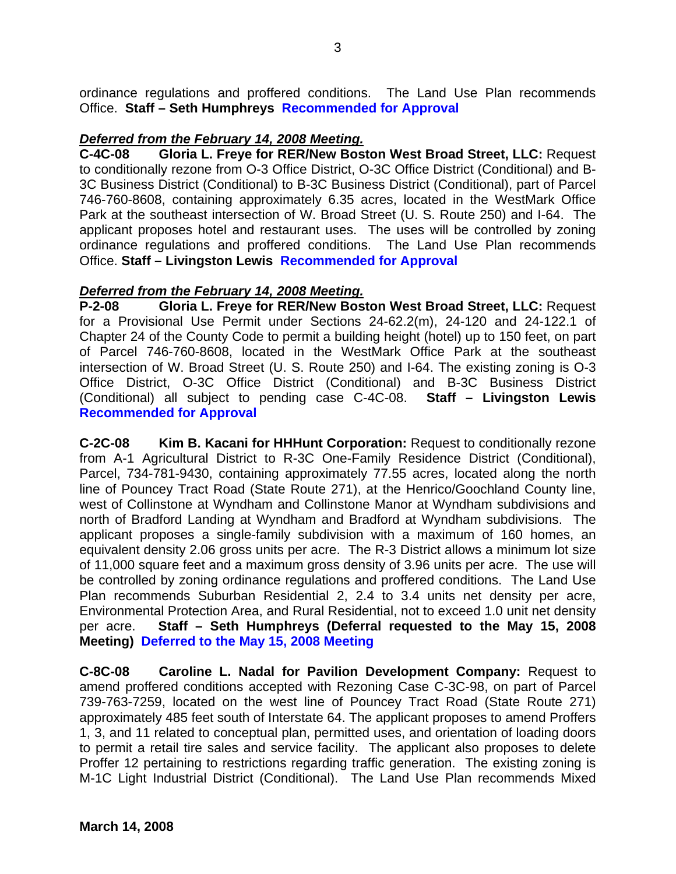ordinance regulations and proffered conditions. The Land Use Plan recommends Office. **Staff – Seth Humphreys Recommended for Approval**

# *Deferred from the February 14, 2008 Meeting.*

**C-4C-08 Gloria L. Freye for RER/New Boston West Broad Street, LLC:** Request to conditionally rezone from O-3 Office District, O-3C Office District (Conditional) and B-3C Business District (Conditional) to B-3C Business District (Conditional), part of Parcel 746-760-8608, containing approximately 6.35 acres, located in the WestMark Office Park at the southeast intersection of W. Broad Street (U. S. Route 250) and I-64. The applicant proposes hotel and restaurant uses. The uses will be controlled by zoning ordinance regulations and proffered conditions. The Land Use Plan recommends Office. **Staff – Livingston Lewis Recommended for Approval** 

## *Deferred from the February 14, 2008 Meeting.*

**P-2-08 Gloria L. Freye for RER/New Boston West Broad Street, LLC:** Request for a Provisional Use Permit under Sections 24-62.2(m), 24-120 and 24-122.1 of Chapter 24 of the County Code to permit a building height (hotel) up to 150 feet, on part of Parcel 746-760-8608, located in the WestMark Office Park at the southeast intersection of W. Broad Street (U. S. Route 250) and I-64. The existing zoning is O-3 Office District, O-3C Office District (Conditional) and B-3C Business District (Conditional) all subject to pending case C-4C-08. **Staff – Livingston Lewis Recommended for Approval**

**C-2C-08 Kim B. Kacani for HHHunt Corporation:** Request to conditionally rezone from A-1 Agricultural District to R-3C One-Family Residence District (Conditional), Parcel, 734-781-9430, containing approximately 77.55 acres, located along the north line of Pouncey Tract Road (State Route 271), at the Henrico/Goochland County line, west of Collinstone at Wyndham and Collinstone Manor at Wyndham subdivisions and north of Bradford Landing at Wyndham and Bradford at Wyndham subdivisions. The applicant proposes a single-family subdivision with a maximum of 160 homes, an equivalent density 2.06 gross units per acre. The R-3 District allows a minimum lot size of 11,000 square feet and a maximum gross density of 3.96 units per acre. The use will be controlled by zoning ordinance regulations and proffered conditions. The Land Use Plan recommends Suburban Residential 2, 2.4 to 3.4 units net density per acre, Environmental Protection Area, and Rural Residential, not to exceed 1.0 unit net density per acre. **Staff – Seth Humphreys (Deferral requested to the May 15, 2008 Meeting) Deferred to the May 15, 2008 Meeting**

**C-8C-08 Caroline L. Nadal for Pavilion Development Company:** Request to amend proffered conditions accepted with Rezoning Case C-3C-98, on part of Parcel 739-763-7259, located on the west line of Pouncey Tract Road (State Route 271) approximately 485 feet south of Interstate 64. The applicant proposes to amend Proffers 1, 3, and 11 related to conceptual plan, permitted uses, and orientation of loading doors to permit a retail tire sales and service facility. The applicant also proposes to delete Proffer 12 pertaining to restrictions regarding traffic generation. The existing zoning is M-1C Light Industrial District (Conditional). The Land Use Plan recommends Mixed